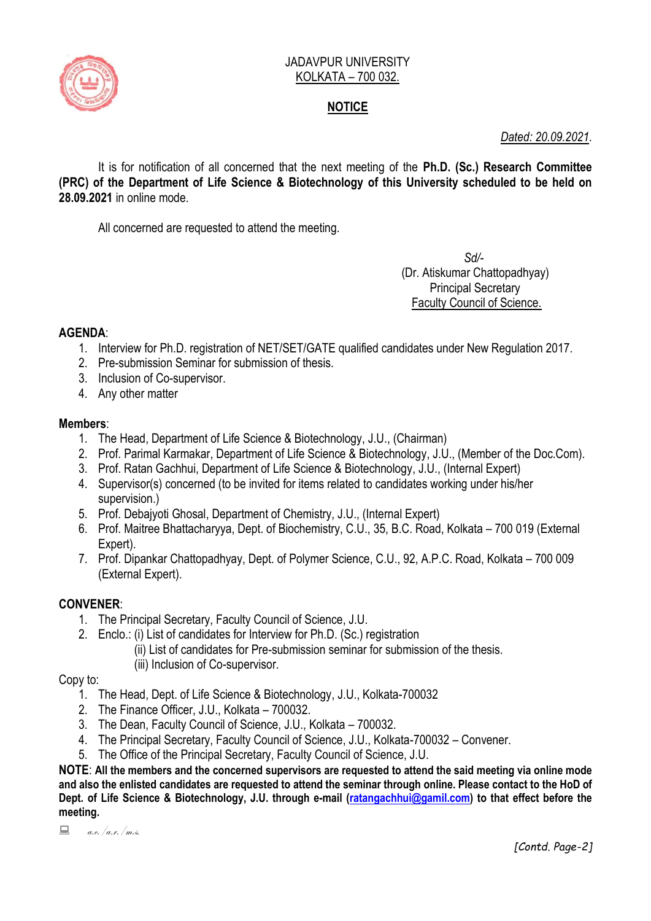

### JADAVPUR UNIVERSITY KOLKATA – 700 032.

# **NOTICE**

*Dated: 20.09.2021.*

It is for notification of all concerned that the next meeting of the **Ph.D. (Sc.) Research Committee (PRC) of the Department of Life Science & Biotechnology of this University scheduled to be held on 28.09.2021** in online mode.

All concerned are requested to attend the meeting.

 *Sd/-*  (Dr. Atiskumar Chattopadhyay) Principal Secretary Faculty Council of Science.

# **AGENDA**:

- 1. Interview for Ph.D. registration of NET/SET/GATE qualified candidates under New Regulation 2017.
- 2. Pre-submission Seminar for submission of thesis.
- 3. Inclusion of Co-supervisor.
- 4. Any other matter

### **Members**:

- 1. The Head, Department of Life Science & Biotechnology, J.U., (Chairman)
- 2. Prof. Parimal Karmakar, Department of Life Science & Biotechnology, J.U., (Member of the Doc.Com).
- 3. Prof. Ratan Gachhui, Department of Life Science & Biotechnology, J.U., (Internal Expert)
- 4. Supervisor(s) concerned (to be invited for items related to candidates working under his/her supervision.)
- 5. Prof. Debajyoti Ghosal, Department of Chemistry, J.U., (Internal Expert)
- 6. Prof. Maitree Bhattacharyya, Dept. of Biochemistry, C.U., 35, B.C. Road, Kolkata 700 019 (External Expert).
- 7. Prof. Dipankar Chattopadhyay, Dept. of Polymer Science, C.U., 92, A.P.C. Road, Kolkata 700 009 (External Expert).

# **CONVENER**:

- 1. The Principal Secretary, Faculty Council of Science, J.U.
- 2. Enclo.: (i) List of candidates for Interview for Ph.D. (Sc.) registration
	- (ii) List of candidates for Pre-submission seminar for submission of the thesis.
		- (iii) Inclusion of Co-supervisor.

Copy to:

- 1. The Head, Dept. of Life Science & Biotechnology, J.U., Kolkata-700032
- 2. The Finance Officer, J.U., Kolkata 700032.
- 3. The Dean, Faculty Council of Science, J.U., Kolkata 700032.
- 4. The Principal Secretary, Faculty Council of Science, J.U., Kolkata-700032 Convener.
- 5. The Office of the Principal Secretary, Faculty Council of Science, J.U.

**NOTE**: **All the members and the concerned supervisors are requested to attend the said meeting via online mode and also the enlisted candidates are requested to attend the seminar through online. Please contact to the HoD of Dept. of Life Science & Biotechnology, J.U. through e-mail [\(ratangachhui@gamil.com\)](mailto:ratangachhui@gamil.com) to that effect before the meeting.**

 $a.e. /a.r. /m.s.$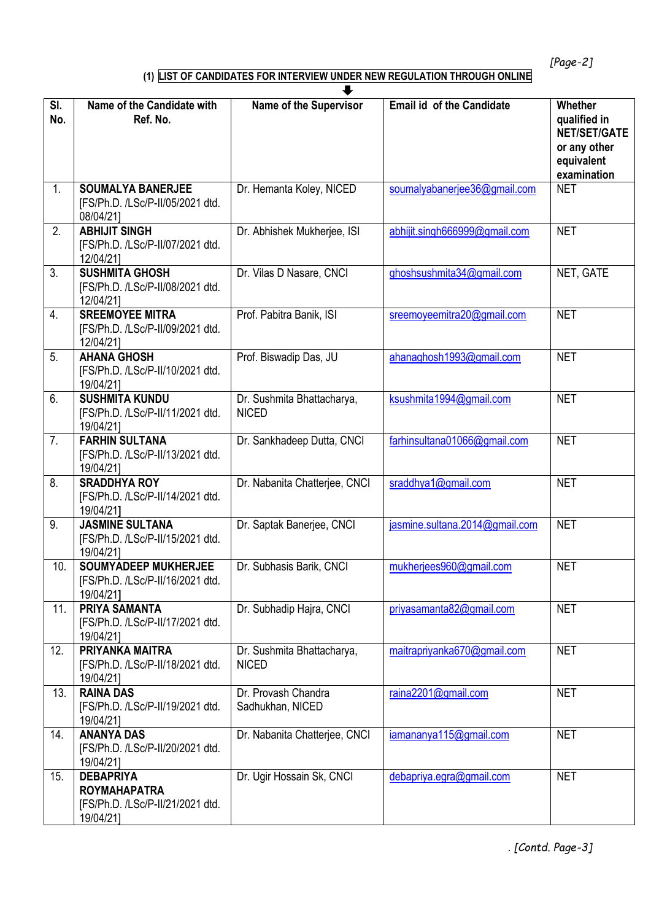*[Page-2]*

# **(1) LIST OF CANDIDATES FOR INTERVIEW UNDER NEW REGULATION THROUGH ONLINE**

|                | ┺                                                                                        |                                            |                                  |                                                                                             |  |  |
|----------------|------------------------------------------------------------------------------------------|--------------------------------------------|----------------------------------|---------------------------------------------------------------------------------------------|--|--|
| SI.<br>No.     | Name of the Candidate with<br>Ref. No.                                                   | <b>Name of the Supervisor</b>              | <b>Email id of the Candidate</b> | Whether<br>qualified in<br><b>NET/SET/GATE</b><br>or any other<br>equivalent<br>examination |  |  |
| 1.             | <b>SOUMALYA BANERJEE</b><br>[FS/Ph.D. /LSc/P-II/05/2021 dtd.<br>08/04/211                | Dr. Hemanta Koley, NICED                   | soumalyabanerjee36@gmail.com     | <b>NET</b>                                                                                  |  |  |
| 2.             | <b>ABHIJIT SINGH</b><br>[FS/Ph.D. /LSc/P-II/07/2021 dtd.<br>12/04/211                    | Dr. Abhishek Mukherjee, ISI                | abhijit.singh666999@gmail.com    | <b>NET</b>                                                                                  |  |  |
| 3.             | <b>SUSHMITA GHOSH</b><br>[FS/Ph.D. /LSc/P-II/08/2021 dtd.<br>12/04/21]                   | Dr. Vilas D Nasare, CNCI                   | ghoshsushmita34@gmail.com        | NET, GATE                                                                                   |  |  |
| 4.             | <b>SREEMOYEE MITRA</b><br>[FS/Ph.D. /LSc/P-II/09/2021 dtd.<br>12/04/211                  | Prof. Pabitra Banik, ISI                   | sreemoyeemitra20@gmail.com       | <b>NET</b>                                                                                  |  |  |
| 5 <sub>1</sub> | <b>AHANA GHOSH</b><br>[FS/Ph.D. /LSc/P-II/10/2021 dtd.<br>19/04/21]                      | Prof. Biswadip Das, JU                     | ahanaghosh1993@gmail.com         | <b>NET</b>                                                                                  |  |  |
| 6.             | <b>SUSHMITA KUNDU</b><br>[FS/Ph.D. /LSc/P-II/11/2021 dtd.<br>19/04/21]                   | Dr. Sushmita Bhattacharya,<br><b>NICED</b> | ksushmita1994@gmail.com          | <b>NET</b>                                                                                  |  |  |
| 7.             | <b>FARHIN SULTANA</b><br>[FS/Ph.D. /LSc/P-II/13/2021 dtd.<br>19/04/211                   | Dr. Sankhadeep Dutta, CNCI                 | farhinsultana01066@gmail.com     | <b>NET</b>                                                                                  |  |  |
| 8.             | <b>SRADDHYA ROY</b><br>[FS/Ph.D. /LSc/P-II/14/2021 dtd.<br>19/04/21]                     | Dr. Nabanita Chatterjee, CNCI              | sraddhya1@gmail.com              | <b>NET</b>                                                                                  |  |  |
| 9.             | <b>JASMINE SULTANA</b><br>[FS/Ph.D. /LSc/P-II/15/2021 dtd.<br>19/04/21]                  | Dr. Saptak Banerjee, CNCI                  | jasmine.sultana.2014@gmail.com   | <b>NET</b>                                                                                  |  |  |
| 10.            | <b>SOUMYADEEP MUKHERJEE</b><br>[FS/Ph.D. /LSc/P-II/16/2021 dtd.<br>19/04/21]             | Dr. Subhasis Barik, CNCI                   | mukherjees960@gmail.com          | <b>NET</b>                                                                                  |  |  |
| 11.            | PRIYA SAMANTA<br>[FS/Ph.D. /LSc/P-II/17/2021 dtd.<br>19/04/21]                           | Dr. Subhadip Hajra, CNCI                   | priyasamanta82@gmail.com         | <b>NET</b>                                                                                  |  |  |
| 12.            | PRIYANKA MAITRA<br>[FS/Ph.D. /LSc/P-II/18/2021 dtd.<br>19/04/21]                         | Dr. Sushmita Bhattacharya,<br><b>NICED</b> | maitrapriyanka670@gmail.com      | <b>NET</b>                                                                                  |  |  |
| 13.            | <b>RAINA DAS</b><br>[FS/Ph.D. /LSc/P-II/19/2021 dtd.<br>19/04/21]                        | Dr. Provash Chandra<br>Sadhukhan, NICED    | raina2201@gmail.com              | <b>NET</b>                                                                                  |  |  |
| 14.            | <b>ANANYA DAS</b><br>[FS/Ph.D. /LSc/P-II/20/2021 dtd.<br>19/04/21]                       | Dr. Nabanita Chatterjee, CNCI              | iamananya115@gmail.com           | <b>NET</b>                                                                                  |  |  |
| 15.            | <b>DEBAPRIYA</b><br><b>ROYMAHAPATRA</b><br>[FS/Ph.D. /LSc/P-II/21/2021 dtd.<br>19/04/21] | Dr. Ugir Hossain Sk, CNCI                  | debapriya.egra@gmail.com         | <b>NET</b>                                                                                  |  |  |

. *[Contd. Page-3]*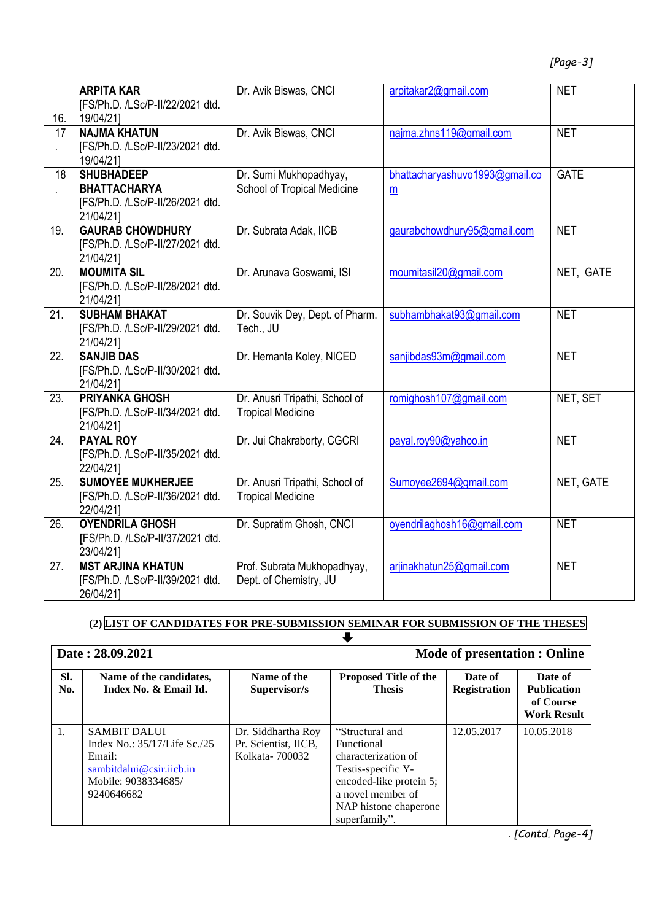|     | <b>ARPITA KAR</b>                | Dr. Avik Biswas, CNCI              | arpitakar2@gmail.com           | <b>NET</b>  |
|-----|----------------------------------|------------------------------------|--------------------------------|-------------|
|     | [FS/Ph.D. /LSc/P-II/22/2021 dtd. |                                    |                                |             |
| 16. | 19/04/21]                        |                                    |                                |             |
|     |                                  |                                    |                                | <b>NET</b>  |
| 17  | <b>NAJMA KHATUN</b>              | Dr. Avik Biswas, CNCI              | najma.zhns119@gmail.com        |             |
|     | [FS/Ph.D. /LSc/P-II/23/2021 dtd. |                                    |                                |             |
|     | 19/04/21]                        |                                    |                                |             |
| 18  | <b>SHUBHADEEP</b>                | Dr. Sumi Mukhopadhyay,             | bhattacharyashuvo1993@gmail.co | <b>GATE</b> |
|     | <b>BHATTACHARYA</b>              | <b>School of Tropical Medicine</b> | $\underline{m}$                |             |
|     | [FS/Ph.D. /LSc/P-II/26/2021 dtd. |                                    |                                |             |
|     | 21/04/211                        |                                    |                                |             |
| 19. | <b>GAURAB CHOWDHURY</b>          | Dr. Subrata Adak, IICB             | gaurabchowdhury95@gmail.com    | <b>NET</b>  |
|     | [FS/Ph.D. /LSc/P-II/27/2021 dtd. |                                    |                                |             |
|     | 21/04/21]                        |                                    |                                |             |
| 20. | <b>MOUMITA SIL</b>               | Dr. Arunava Goswami, ISI           | moumitasil20@gmail.com         | NET, GATE   |
|     | [FS/Ph.D. /LSc/P-II/28/2021 dtd. |                                    |                                |             |
|     | 21/04/21]                        |                                    |                                |             |
| 21. | <b>SUBHAM BHAKAT</b>             | Dr. Souvik Dey, Dept. of Pharm.    | subhambhakat93@gmail.com       | <b>NET</b>  |
|     | [FS/Ph.D. /LSc/P-II/29/2021 dtd. | Tech., JU                          |                                |             |
|     | 21/04/21]                        |                                    |                                |             |
| 22. | <b>SANJIB DAS</b>                | Dr. Hemanta Koley, NICED           | sanjibdas93m@gmail.com         | <b>NET</b>  |
|     | [FS/Ph.D. /LSc/P-II/30/2021 dtd. |                                    |                                |             |
|     | 21/04/21]                        |                                    |                                |             |
| 23. | <b>PRIYANKA GHOSH</b>            | Dr. Anusri Tripathi, School of     | romighosh107@gmail.com         | NET, SET    |
|     | [FS/Ph.D. /LSc/P-II/34/2021 dtd. | <b>Tropical Medicine</b>           |                                |             |
|     | 21/04/21]                        |                                    |                                |             |
| 24. | <b>PAYAL ROY</b>                 | Dr. Jui Chakraborty, CGCRI         | payal.roy90@yahoo.in           | <b>NET</b>  |
|     | [FS/Ph.D. /LSc/P-II/35/2021 dtd. |                                    |                                |             |
|     | 22/04/21]                        |                                    |                                |             |
| 25. | <b>SUMOYEE MUKHERJEE</b>         | Dr. Anusri Tripathi, School of     | Sumoyee2694@gmail.com          | NET, GATE   |
|     | [FS/Ph.D. /LSc/P-II/36/2021 dtd. | <b>Tropical Medicine</b>           |                                |             |
|     | 22/04/21]                        |                                    |                                |             |
| 26. | <b>OYENDRILA GHOSH</b>           | Dr. Supratim Ghosh, CNCI           | oyendrilaghosh16@gmail.com     | <b>NET</b>  |
|     | [FS/Ph.D. /LSc/P-II/37/2021 dtd. |                                    |                                |             |
|     | 23/04/21]                        |                                    |                                |             |
| 27. | <b>MST ARJINA KHATUN</b>         | Prof. Subrata Mukhopadhyay,        | arjinakhatun25@gmail.com       | <b>NET</b>  |
|     | [FS/Ph.D. /LSc/P-II/39/2021 dtd. | Dept. of Chemistry, JU             |                                |             |
|     | 26/04/21]                        |                                    |                                |             |

**(2) LIST OF CANDIDATES FOR PRE-SUBMISSION SEMINAR FOR SUBMISSION OF THE THESES**

 $\begin{matrix} \nabla \cdot \mathbf{r} & \mathbf{r} \\ \nabla \cdot \mathbf{r} & \mathbf{r} \end{matrix}$ 

|                  | Date: 28.09.2021                                                                                                               |                                                               | <b>Mode of presentation : Online</b>                                                                                                                                 |                                |                                                                  |
|------------------|--------------------------------------------------------------------------------------------------------------------------------|---------------------------------------------------------------|----------------------------------------------------------------------------------------------------------------------------------------------------------------------|--------------------------------|------------------------------------------------------------------|
| SI.<br>No.       | Name of the candidates,<br>Index No. & Email Id.                                                                               | Name of the<br>Supervisor/s                                   | <b>Proposed Title of the</b><br><b>Thesis</b>                                                                                                                        | Date of<br><b>Registration</b> | Date of<br><b>Publication</b><br>of Course<br><b>Work Result</b> |
| $\overline{1}$ . | <b>SAMBIT DALUI</b><br>Index No.: 35/17/Life Sc./25<br>Email:<br>sambitdalui@csir.iicb.in<br>Mobile: 9038334685/<br>9240646682 | Dr. Siddhartha Roy<br>Pr. Scientist, IICB,<br>Kolkata- 700032 | "Structural and<br>Functional<br>characterization of<br>Testis-specific Y-<br>encoded-like protein 5;<br>a novel member of<br>NAP histone chaperone<br>superfamily". | 12.05.2017                     | 10.05.2018                                                       |

. *[Contd. Page-4]*